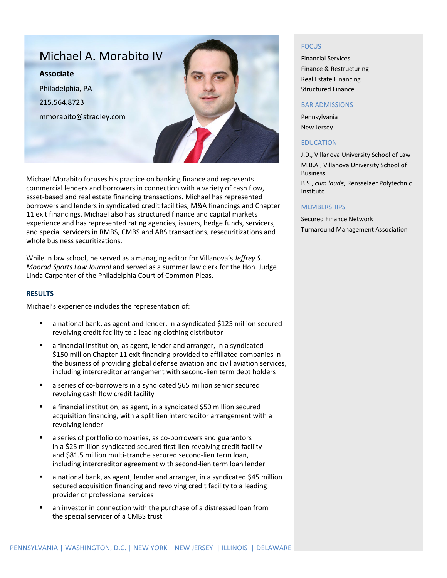# Michael A. Morabito IV **Associate** Philadelphia, PA 215.564.8723 mmorabito@stradley.com

Michael Morabito focuses his practice on banking finance and represents commercial lenders and borrowers in connection with a variety of cash flow, asset-based and real estate financing transactions. Michael has represented borrowers and lenders in syndicated credit facilities, M&A financings and Chapter 11 exit financings. Michael also has structured finance and capital markets experience and has represented rating agencies, issuers, hedge funds, servicers, and special servicers in RMBS, CMBS and ABS transactions, resecuritizations and whole business securitizations.

While in law school, he served as a managing editor for Villanova's *Jeffrey S. Moorad Sports Law Journal* and served as a summer law clerk for the Hon. Judge Linda Carpenter of the Philadelphia Court of Common Pleas.

#### **RESULTS**

Michael's experience includes the representation of:

- a national bank, as agent and lender, in a syndicated \$125 million secured revolving credit facility to a leading clothing distributor
- a financial institution, as agent, lender and arranger, in a syndicated \$150 million Chapter 11 exit financing provided to affiliated companies in the business of providing global defense aviation and civil aviation services, including intercreditor arrangement with second-lien term debt holders
- a series of co-borrowers in a syndicated \$65 million senior secured revolving cash flow credit facility
- a financial institution, as agent, in a syndicated \$50 million secured acquisition financing, with a split lien intercreditor arrangement with a revolving lender
- a series of portfolio companies, as co-borrowers and guarantors in a \$25 million syndicated secured first-lien revolving credit facility and \$81.5 million multi-tranche secured second-lien term loan, including intercreditor agreement with second-lien term loan lender
- a national bank, as agent, lender and arranger, in a syndicated \$45 million secured acquisition financing and revolving credit facility to a leading provider of professional services
- an investor in connection with the purchase of a distressed loan from the special servicer of a CMBS trust

#### FOCUS

Financial Services Finance & Restructuring Real Estate Financing Structured Finance

#### BAR ADMISSIONS

Pennsylvania New Jersey

#### EDUCATION

J.D., Villanova University School of Law M.B.A., Villanova University School of Business

B.S., *cum laude*, Rensselaer Polytechnic Institute

#### **MEMBERSHIPS**

Secured Finance Network Turnaround Management Association